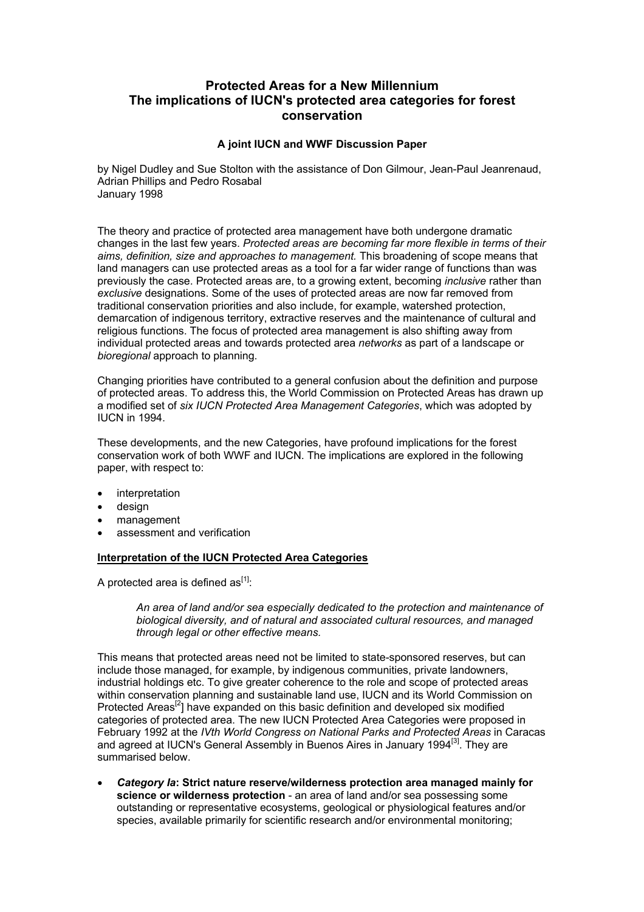# **Protected Areas for a New Millennium The implications of IUCN's protected area categories for forest conservation**

### **A joint IUCN and WWF Discussion Paper**

by Nigel Dudley and Sue Stolton with the assistance of Don Gilmour, Jean-Paul Jeanrenaud, Adrian Phillips and Pedro Rosabal January 1998

The theory and practice of protected area management have both undergone dramatic changes in the last few years. *Protected areas are becoming far more flexible in terms of their aims, definition, size and approaches to management.* This broadening of scope means that land managers can use protected areas as a tool for a far wider range of functions than was previously the case. Protected areas are, to a growing extent, becoming *inclusive* rather than *exclusive* designations. Some of the uses of protected areas are now far removed from traditional conservation priorities and also include, for example, watershed protection, demarcation of indigenous territory, extractive reserves and the maintenance of cultural and religious functions. The focus of protected area management is also shifting away from individual protected areas and towards protected area *networks* as part of a landscape or *bioregional* approach to planning.

Changing priorities have contributed to a general confusion about the definition and purpose of protected areas. To address this, the World Commission on Protected Areas has drawn up a modified set of *six IUCN Protected Area Management Categories*, which was adopted by IUCN in 1994.

These developments, and the new Categories, have profound implications for the forest conservation work of both WWF and IUCN. The implications are explored in the following paper, with respect to:

- interpretation
- design
- management
- assessment and verification

## **Interpretation of the IUCN Protected Area Categories**

A protected area is defined as  $[1]$ :

*An area of land and/or sea especially dedicated to the protection and maintenance of biological diversity, and of natural and associated cultural resources, and managed through legal or other effective means.* 

This means that protected areas need not be limited to state-sponsored reserves, but can include those managed, for example, by indigenous communities, private landowners, industrial holdings etc. To give greater coherence to the role and scope of protected areas within conservation planning and sustainable land use, IUCN and its World Commission on Protected Areas<sup>[2</sup>] have expanded on this basic definition and developed six modified categories of protected area. The new IUCN Protected Area Categories were proposed in February 1992 at the *IVth World Congress on National Parks and Protected Areas* in Caracas and agreed at IUCN's General Assembly in Buenos Aires in January 1994<sup>[3]</sup>. They are summarised below.

• *Category Ia***: Strict nature reserve/wilderness protection area managed mainly for science or wilderness protection** - an area of land and/or sea possessing some outstanding or representative ecosystems, geological or physiological features and/or species, available primarily for scientific research and/or environmental monitoring;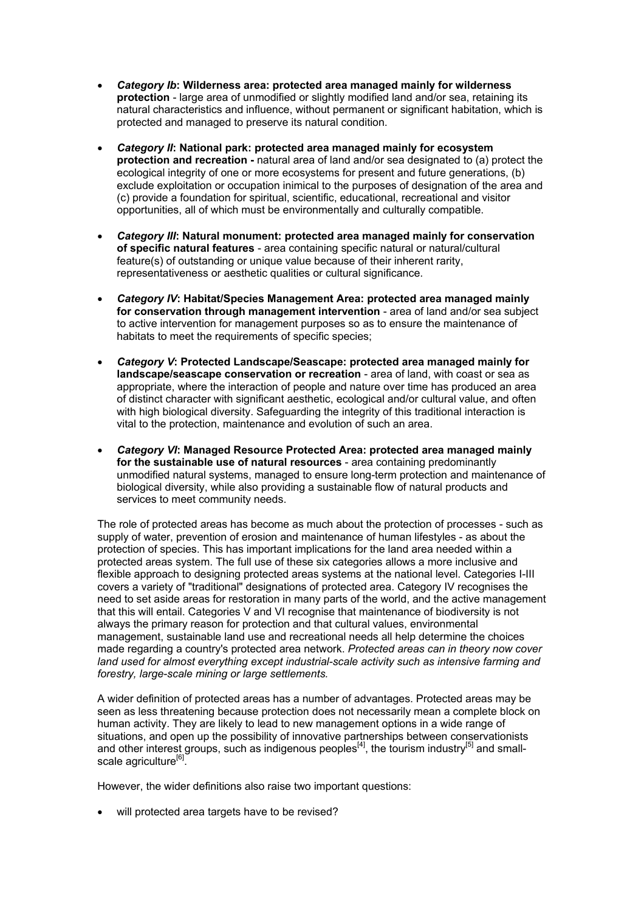- *Category Ib***: Wilderness area: protected area managed mainly for wilderness protection** - large area of unmodified or slightly modified land and/or sea, retaining its natural characteristics and influence, without permanent or significant habitation, which is protected and managed to preserve its natural condition.
- *Category II***: National park: protected area managed mainly for ecosystem protection and recreation -** natural area of land and/or sea designated to (a) protect the ecological integrity of one or more ecosystems for present and future generations, (b) exclude exploitation or occupation inimical to the purposes of designation of the area and (c) provide a foundation for spiritual, scientific, educational, recreational and visitor opportunities, all of which must be environmentally and culturally compatible.
- *Category III***: Natural monument: protected area managed mainly for conservation of specific natural features** - area containing specific natural or natural/cultural feature(s) of outstanding or unique value because of their inherent rarity, representativeness or aesthetic qualities or cultural significance.
- *Category IV***: Habitat/Species Management Area: protected area managed mainly for conservation through management intervention** - area of land and/or sea subject to active intervention for management purposes so as to ensure the maintenance of habitats to meet the requirements of specific species;
- *Category V***: Protected Landscape/Seascape: protected area managed mainly for landscape/seascape conservation or recreation** - area of land, with coast or sea as appropriate, where the interaction of people and nature over time has produced an area of distinct character with significant aesthetic, ecological and/or cultural value, and often with high biological diversity. Safeguarding the integrity of this traditional interaction is vital to the protection, maintenance and evolution of such an area.
- *Category VI***: Managed Resource Protected Area: protected area managed mainly for the sustainable use of natural resources** - area containing predominantly unmodified natural systems, managed to ensure long-term protection and maintenance of biological diversity, while also providing a sustainable flow of natural products and services to meet community needs.

The role of protected areas has become as much about the protection of processes - such as supply of water, prevention of erosion and maintenance of human lifestyles - as about the protection of species. This has important implications for the land area needed within a protected areas system. The full use of these six categories allows a more inclusive and flexible approach to designing protected areas systems at the national level. Categories I-III covers a variety of "traditional" designations of protected area. Category IV recognises the need to set aside areas for restoration in many parts of the world, and the active management that this will entail. Categories V and VI recognise that maintenance of biodiversity is not always the primary reason for protection and that cultural values, environmental management, sustainable land use and recreational needs all help determine the choices made regarding a country's protected area network. *Protected areas can in theory now cover land used for almost everything except industrial-scale activity such as intensive farming and forestry, large-scale mining or large settlements.* 

A wider definition of protected areas has a number of advantages. Protected areas may be seen as less threatening because protection does not necessarily mean a complete block on human activity. They are likely to lead to new management options in a wide range of situations, and open up the possibility of innovative partnerships between conservationists and other interest groups, such as indigenous peoples<sup>[4]</sup>, the tourism industry<sup>[5]</sup> and smallscale agriculture<sup>[6]</sup>.

However, the wider definitions also raise two important questions:

will protected area targets have to be revised?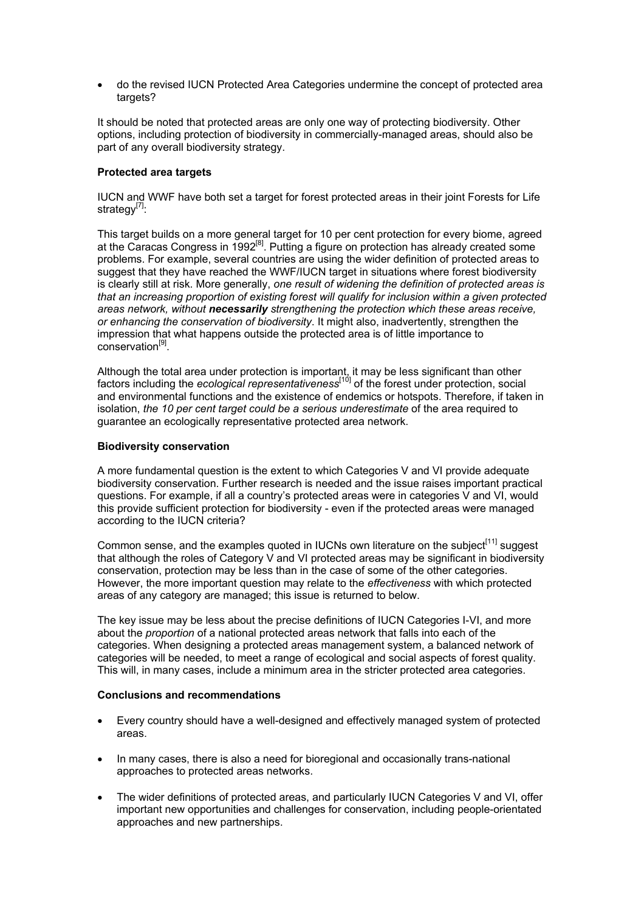• do the revised IUCN Protected Area Categories undermine the concept of protected area targets?

It should be noted that protected areas are only one way of protecting biodiversity. Other options, including protection of biodiversity in commercially-managed areas, should also be part of any overall biodiversity strategy.

### **Protected area targets**

IUCN and WWF have both set a target for forest protected areas in their joint Forests for Life strategy<sup>[7]</sup>:

This target builds on a more general target for 10 per cent protection for every biome, agreed at the Caracas Congress in  $1992^{[8]}$ . Putting a figure on protection has already created some problems. For example, several countries are using the wider definition of protected areas to suggest that they have reached the WWF/IUCN target in situations where forest biodiversity is clearly still at risk. More generally, *one result of widening the definition of protected areas is that an increasing proportion of existing forest will qualify for inclusion within a given protected areas network, without necessarily strengthening the protection which these areas receive, or enhancing the conservation of biodiversity*. It might also, inadvertently, strengthen the impression that what happens outside the protected area is of little importance to conservation<sup>[9]</sup>.

Although the total area under protection is important, it may be less significant than other factors including the *ecological representativeness*<sup>[10]</sup> of the forest under protection, social and environmental functions and the existence of endemics or hotspots. Therefore, if taken in isolation, *the 10 per cent target could be a serious underestimate* of the area required to guarantee an ecologically representative protected area network.

### **Biodiversity conservation**

A more fundamental question is the extent to which Categories V and VI provide adequate biodiversity conservation. Further research is needed and the issue raises important practical questions. For example, if all a country's protected areas were in categories V and VI, would this provide sufficient protection for biodiversity - even if the protected areas were managed according to the IUCN criteria?

Common sense, and the examples quoted in IUCNs own literature on the subject<sup>[11]</sup> suggest that although the roles of Category V and VI protected areas may be significant in biodiversity conservation, protection may be less than in the case of some of the other categories. However, the more important question may relate to the *effectiveness* with which protected areas of any category are managed; this issue is returned to below.

The key issue may be less about the precise definitions of IUCN Categories I-VI, and more about the *proportion* of a national protected areas network that falls into each of the categories. When designing a protected areas management system, a balanced network of categories will be needed, to meet a range of ecological and social aspects of forest quality. This will, in many cases, include a minimum area in the stricter protected area categories.

#### **Conclusions and recommendations**

- Every country should have a well-designed and effectively managed system of protected areas.
- In many cases, there is also a need for bioregional and occasionally trans-national approaches to protected areas networks.
- The wider definitions of protected areas, and particularly IUCN Categories V and VI, offer important new opportunities and challenges for conservation, including people-orientated approaches and new partnerships.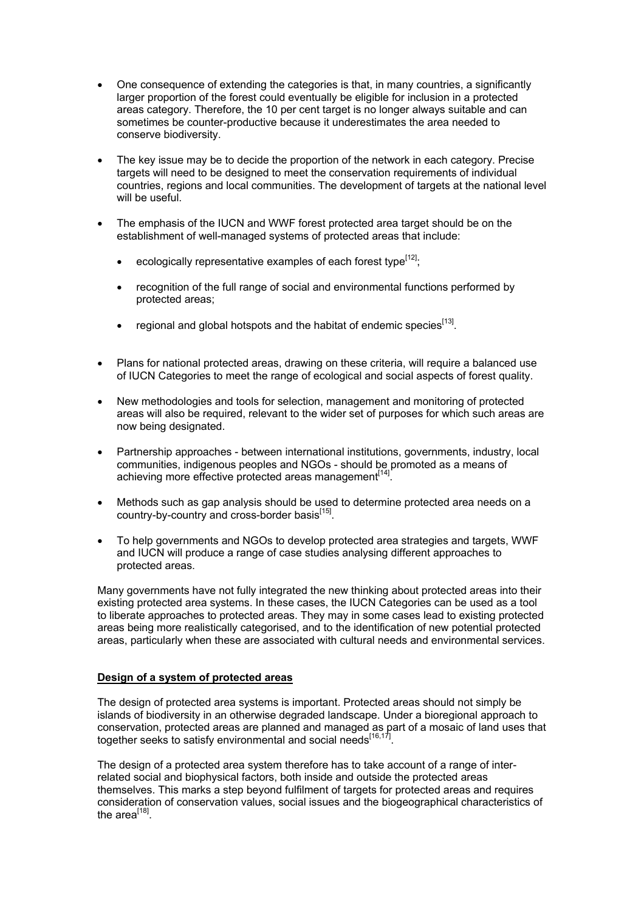- One consequence of extending the categories is that, in many countries, a significantly larger proportion of the forest could eventually be eligible for inclusion in a protected areas category. Therefore, the 10 per cent target is no longer always suitable and can sometimes be counter-productive because it underestimates the area needed to conserve biodiversity.
- The key issue may be to decide the proportion of the network in each category. Precise targets will need to be designed to meet the conservation requirements of individual countries, regions and local communities. The development of targets at the national level will be useful.
- The emphasis of the IUCN and WWF forest protected area target should be on the establishment of well-managed systems of protected areas that include:
	- ecologically representative examples of each forest type<sup>[12]</sup>;
	- recognition of the full range of social and environmental functions performed by protected areas;
	- regional and global hotspots and the habitat of endemic species<sup>[13]</sup>.
- Plans for national protected areas, drawing on these criteria, will require a balanced use of IUCN Categories to meet the range of ecological and social aspects of forest quality.
- New methodologies and tools for selection, management and monitoring of protected areas will also be required, relevant to the wider set of purposes for which such areas are now being designated.
- Partnership approaches between international institutions, governments, industry, local communities, indigenous peoples and NGOs - should be promoted as a means of achieving more effective protected areas management<sup>[14]</sup>.
- Methods such as gap analysis should be used to determine protected area needs on a country-by-country and cross-border basis<sup>[15]</sup>.
- To help governments and NGOs to develop protected area strategies and targets, WWF and IUCN will produce a range of case studies analysing different approaches to protected areas.

Many governments have not fully integrated the new thinking about protected areas into their existing protected area systems. In these cases, the IUCN Categories can be used as a tool to liberate approaches to protected areas. They may in some cases lead to existing protected areas being more realistically categorised, and to the identification of new potential protected areas, particularly when these are associated with cultural needs and environmental services.

## **Design of a system of protected areas**

The design of protected area systems is important. Protected areas should not simply be islands of biodiversity in an otherwise degraded landscape. Under a bioregional approach to conservation, protected areas are planned and managed as part of a mosaic of land uses that together seeks to satisfy environmental and social needs<sup>[16,17]</sup>.

The design of a protected area system therefore has to take account of a range of interrelated social and biophysical factors, both inside and outside the protected areas themselves. This marks a step beyond fulfilment of targets for protected areas and requires consideration of conservation values, social issues and the biogeographical characteristics of the area $^{[18]}$ .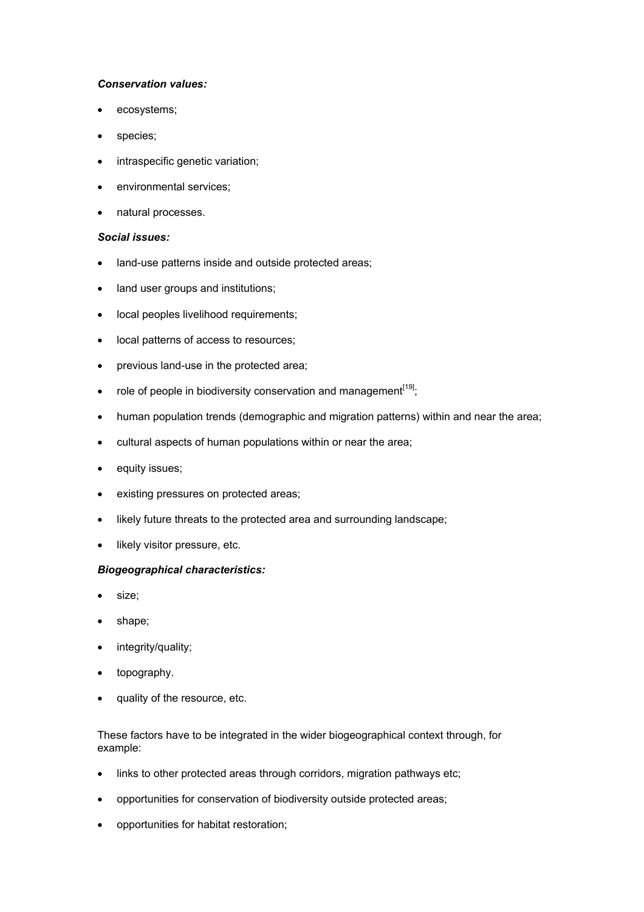## *Conservation values:*

- ecosystems;
- species;
- intraspecific genetic variation;
- environmental services;
- natural processes.

#### *Social issues:*

- land-use patterns inside and outside protected areas;
- land user groups and institutions;
- local peoples livelihood requirements;
- local patterns of access to resources;
- previous land-use in the protected area;
- role of people in biodiversity conservation and management<sup>[19]</sup>;
- human population trends (demographic and migration patterns) within and near the area;
- cultural aspects of human populations within or near the area;
- equity issues;
- existing pressures on protected areas;
- likely future threats to the protected area and surrounding landscape;
- likely visitor pressure, etc.

#### *Biogeographical characteristics:*

- size;
- shape;
- integrity/quality;
- topography.
- quality of the resource, etc.

These factors have to be integrated in the wider biogeographical context through, for example:

- links to other protected areas through corridors, migration pathways etc;
- opportunities for conservation of biodiversity outside protected areas;
- opportunities for habitat restoration;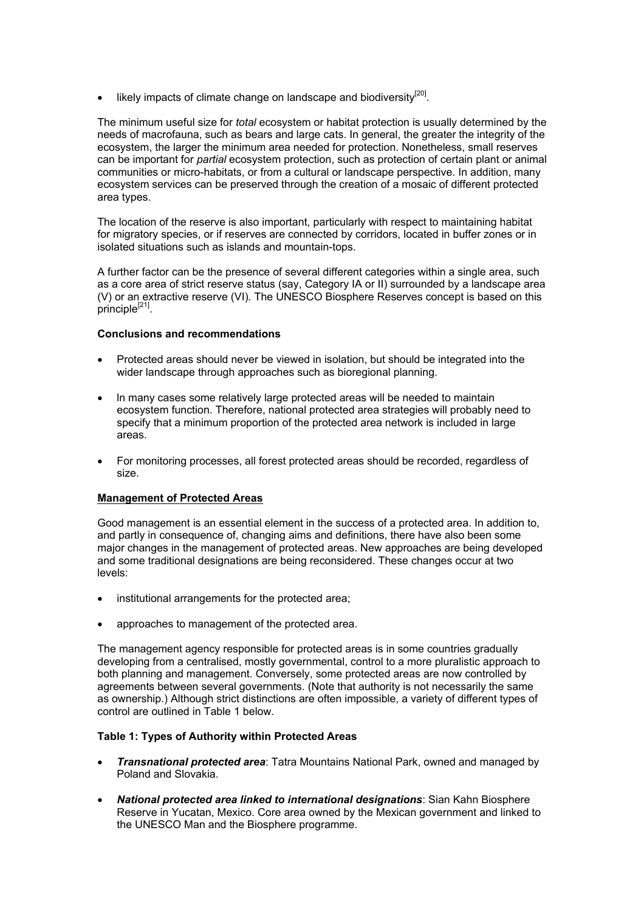$\bullet$  likely impacts of climate change on landscape and biodiversity<sup>[20]</sup>.

The minimum useful size for *total* ecosystem or habitat protection is usually determined by the needs of macrofauna, such as bears and large cats. In general, the greater the integrity of the ecosystem, the larger the minimum area needed for protection. Nonetheless, small reserves can be important for *partial* ecosystem protection, such as protection of certain plant or animal communities or micro-habitats, or from a cultural or landscape perspective. In addition, many ecosystem services can be preserved through the creation of a mosaic of different protected area types.

The location of the reserve is also important, particularly with respect to maintaining habitat for migratory species, or if reserves are connected by corridors, located in buffer zones or in isolated situations such as islands and mountain-tops.

A further factor can be the presence of several different categories within a single area, such as a core area of strict reserve status (say, Category IA or II) surrounded by a landscape area (V) or an extractive reserve (VI). The UNESCO Biosphere Reserves concept is based on this principle<sup>[21]</sup>.

## **Conclusions and recommendations**

- Protected areas should never be viewed in isolation, but should be integrated into the wider landscape through approaches such as bioregional planning.
- ln many cases some relatively large protected areas will be needed to maintain ecosystem function. Therefore, national protected area strategies will probably need to specify that a minimum proportion of the protected area network is included in large areas.
- For monitoring processes, all forest protected areas should be recorded, regardless of size.

## **Management of Protected Areas**

Good management is an essential element in the success of a protected area. In addition to, and partly in consequence of, changing aims and definitions, there have also been some major changes in the management of protected areas. New approaches are being developed and some traditional designations are being reconsidered. These changes occur at two levels:

- institutional arrangements for the protected area;
- approaches to management of the protected area.

The management agency responsible for protected areas is in some countries gradually developing from a centralised, mostly governmental, control to a more pluralistic approach to both planning and management. Conversely, some protected areas are now controlled by agreements between several governments. (Note that authority is not necessarily the same as ownership.) Although strict distinctions are often impossible, a variety of different types of control are outlined in Table 1 below.

## **Table 1: Types of Authority within Protected Areas**

- *Transnational protected area*: Tatra Mountains National Park, owned and managed by Poland and Slovakia.
- *National protected area linked to international designations*: Sian Kahn Biosphere Reserve in Yucatan, Mexico. Core area owned by the Mexican government and linked to the UNESCO Man and the Biosphere programme.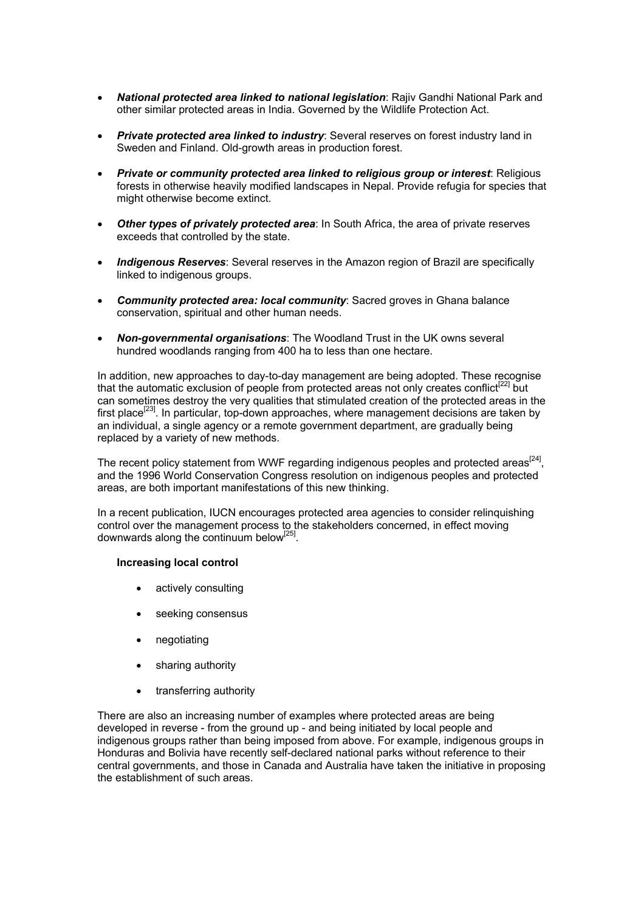- *National protected area linked to national legislation*: Rajiv Gandhi National Park and other similar protected areas in India. Governed by the Wildlife Protection Act.
- *Private protected area linked to industry*: Several reserves on forest industry land in Sweden and Finland. Old-growth areas in production forest.
- *Private or community protected area linked to religious group or interest*: Religious forests in otherwise heavily modified landscapes in Nepal. Provide refugia for species that might otherwise become extinct.
- **Other types of privately protected area:** In South Africa, the area of private reserves exceeds that controlled by the state.
- *Indigenous Reserves*: Several reserves in the Amazon region of Brazil are specifically linked to indigenous groups.
- *Community protected area: local community*: Sacred groves in Ghana balance conservation, spiritual and other human needs.
- *Non-governmental organisations*: The Woodland Trust in the UK owns several hundred woodlands ranging from 400 ha to less than one hectare.

In addition, new approaches to day-to-day management are being adopted. These recognise that the automatic exclusion of people from protected areas not only creates conflict<sup>[22]</sup> but can sometimes destroy the very qualities that stimulated creation of the protected areas in the first place<sup>[23]</sup>. In particular, top-down approaches, where management decisions are taken by an individual, a single agency or a remote government department, are gradually being replaced by a variety of new methods.

The recent policy statement from WWF regarding indigenous peoples and protected areas<sup>[24]</sup>. and the 1996 World Conservation Congress resolution on indigenous peoples and protected areas, are both important manifestations of this new thinking.

In a recent publication, IUCN encourages protected area agencies to consider relinquishing control over the management process to the stakeholders concerned, in effect moving downwards along the continuum below<sup>[25]</sup>.

#### **Increasing local control**

- actively consulting
- seeking consensus
- negotiating
- sharing authority
- transferring authority

There are also an increasing number of examples where protected areas are being developed in reverse - from the ground up - and being initiated by local people and indigenous groups rather than being imposed from above. For example, indigenous groups in Honduras and Bolivia have recently self-declared national parks without reference to their central governments, and those in Canada and Australia have taken the initiative in proposing the establishment of such areas.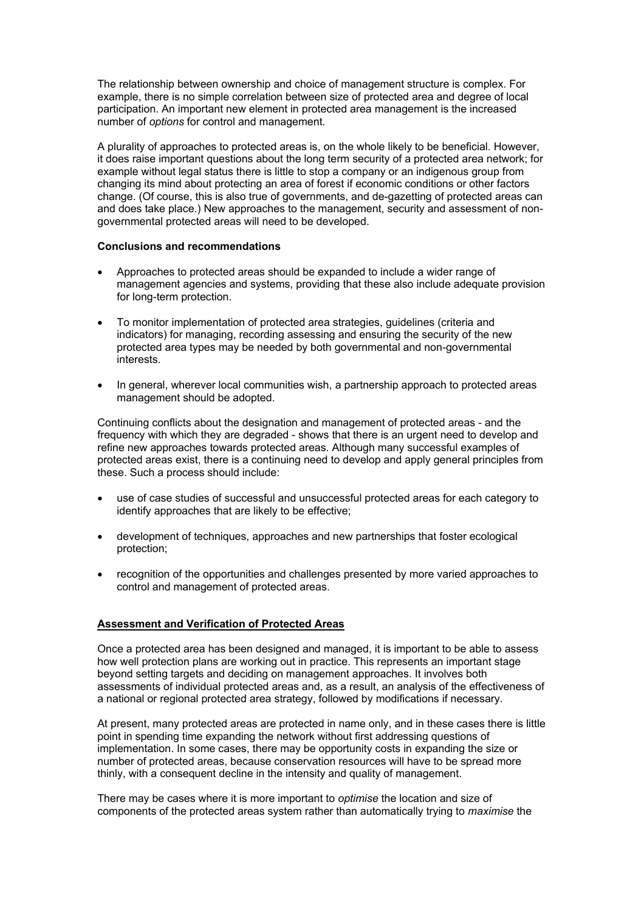The relationship between ownership and choice of management structure is complex. For example, there is no simple correlation between size of protected area and degree of local participation. An important new element in protected area management is the increased number of *options* for control and management.

A plurality of approaches to protected areas is, on the whole likely to be beneficial. However, it does raise important questions about the long term security of a protected area network; for example without legal status there is little to stop a company or an indigenous group from changing its mind about protecting an area of forest if economic conditions or other factors change. (Of course, this is also true of governments, and de-gazetting of protected areas can and does take place.) New approaches to the management, security and assessment of nongovernmental protected areas will need to be developed.

#### **Conclusions and recommendations**

- Approaches to protected areas should be expanded to include a wider range of management agencies and systems, providing that these also include adequate provision for long-term protection.
- To monitor implementation of protected area strategies, guidelines (criteria and indicators) for managing, recording assessing and ensuring the security of the new protected area types may be needed by both governmental and non-governmental interests.
- In general, wherever local communities wish, a partnership approach to protected areas management should be adopted.

Continuing conflicts about the designation and management of protected areas - and the frequency with which they are degraded - shows that there is an urgent need to develop and refine new approaches towards protected areas. Although many successful examples of protected areas exist, there is a continuing need to develop and apply general principles from these. Such a process should include:

- use of case studies of successful and unsuccessful protected areas for each category to identify approaches that are likely to be effective;
- development of techniques, approaches and new partnerships that foster ecological protection;
- recognition of the opportunities and challenges presented by more varied approaches to control and management of protected areas.

## **Assessment and Verification of Protected Areas**

Once a protected area has been designed and managed, it is important to be able to assess how well protection plans are working out in practice. This represents an important stage beyond setting targets and deciding on management approaches. It involves both assessments of individual protected areas and, as a result, an analysis of the effectiveness of a national or regional protected area strategy, followed by modifications if necessary.

At present, many protected areas are protected in name only, and in these cases there is little point in spending time expanding the network without first addressing questions of implementation. In some cases, there may be opportunity costs in expanding the size or number of protected areas, because conservation resources will have to be spread more thinly, with a consequent decline in the intensity and quality of management.

There may be cases where it is more important to *optimise* the location and size of components of the protected areas system rather than automatically trying to *maximise* the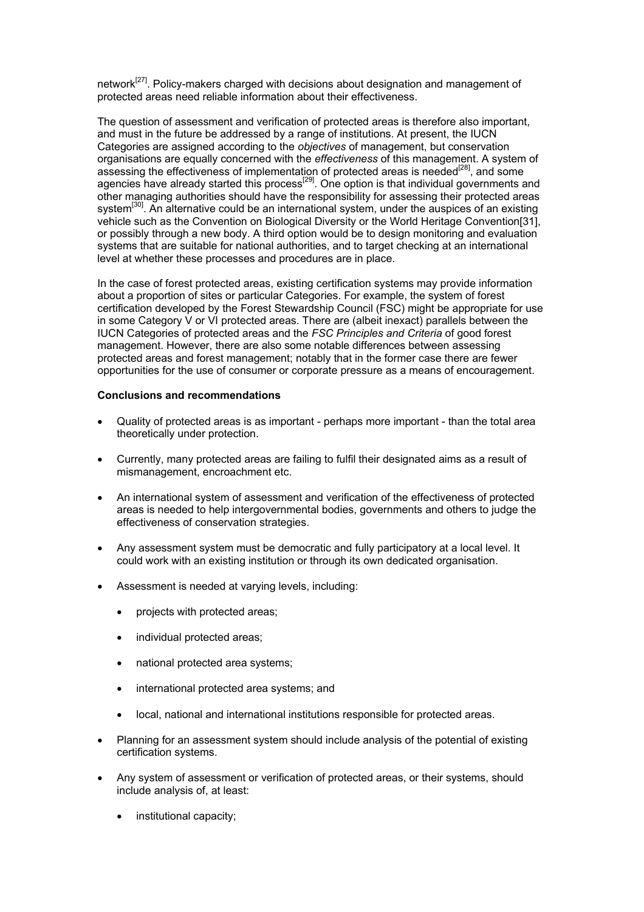network<sup>[27]</sup>. Policy-makers charged with decisions about designation and management of protected areas need reliable information about their effectiveness.

The question of assessment and verification of protected areas is therefore also important, and must in the future be addressed by a range of institutions. At present, the IUCN Categories are assigned according to the *objectives* of management, but conservation organisations are equally concerned with the *effectiveness* of this management. A system of assessing the effectiveness of implementation of protected areas is needed<sup>[28]</sup>, and some agencies have already started this process<sup>[29]</sup>. One option is that individual governments and other managing authorities should have the responsibility for assessing their protected areas system<sup>[30]</sup>. An alternative could be an international system, under the auspices of an existing vehicle such as the Convention on Biological Diversity or the World Heritage Convention[31], or possibly through a new body. A third option would be to design monitoring and evaluation systems that are suitable for national authorities, and to target checking at an international level at whether these processes and procedures are in place.

In the case of forest protected areas, existing certification systems may provide information about a proportion of sites or particular Categories. For example, the system of forest certification developed by the Forest Stewardship Council (FSC) might be appropriate for use in some Category V or VI protected areas. There are (albeit inexact) parallels between the IUCN Categories of protected areas and the *FSC Principles and Criteria* of good forest management. However, there are also some notable differences between assessing protected areas and forest management; notably that in the former case there are fewer opportunities for the use of consumer or corporate pressure as a means of encouragement.

#### **Conclusions and recommendations**

- Quality of protected areas is as important perhaps more important than the total area theoretically under protection.
- Currently, many protected areas are failing to fulfil their designated aims as a result of mismanagement, encroachment etc.
- An international system of assessment and verification of the effectiveness of protected areas is needed to help intergovernmental bodies, governments and others to judge the effectiveness of conservation strategies.
- Any assessment system must be democratic and fully participatory at a local level. It could work with an existing institution or through its own dedicated organisation.
- Assessment is needed at varying levels, including:
	- projects with protected areas;
	- individual protected areas:
	- national protected area systems;
	- international protected area systems; and
	- local, national and international institutions responsible for protected areas.
- Planning for an assessment system should include analysis of the potential of existing certification systems.
- Any system of assessment or verification of protected areas, or their systems, should include analysis of, at least:
	- institutional capacity;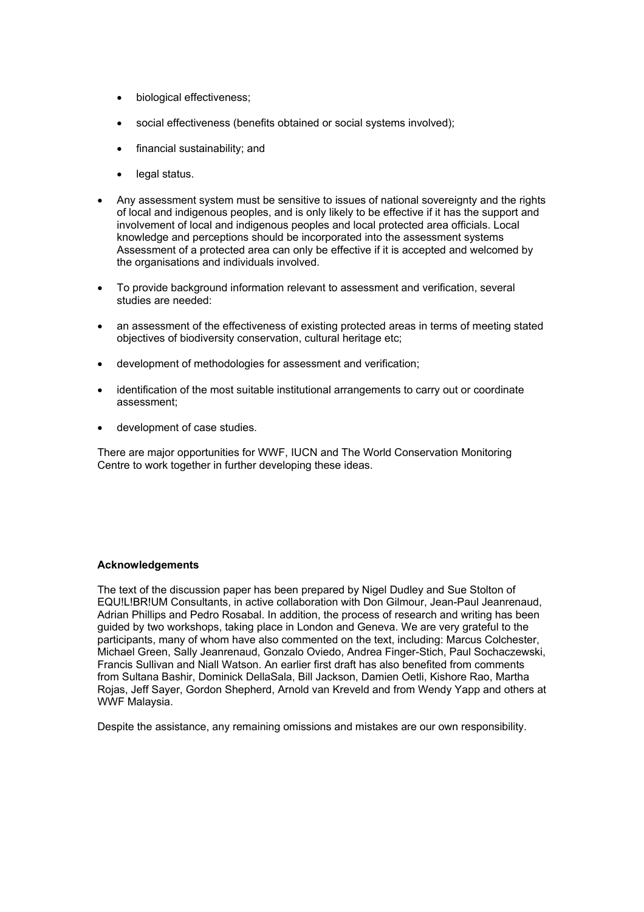- biological effectiveness;
- social effectiveness (benefits obtained or social systems involved);
- financial sustainability; and
- legal status.
- Any assessment system must be sensitive to issues of national sovereignty and the rights of local and indigenous peoples, and is only likely to be effective if it has the support and involvement of local and indigenous peoples and local protected area officials. Local knowledge and perceptions should be incorporated into the assessment systems Assessment of a protected area can only be effective if it is accepted and welcomed by the organisations and individuals involved.
- To provide background information relevant to assessment and verification, several studies are needed:
- an assessment of the effectiveness of existing protected areas in terms of meeting stated objectives of biodiversity conservation, cultural heritage etc;
- development of methodologies for assessment and verification;
- identification of the most suitable institutional arrangements to carry out or coordinate assessment;
- development of case studies.

There are major opportunities for WWF, IUCN and The World Conservation Monitoring Centre to work together in further developing these ideas.

#### **Acknowledgements**

The text of the discussion paper has been prepared by Nigel Dudley and Sue Stolton of EQU!L!BR!UM Consultants, in active collaboration with Don Gilmour, Jean-Paul Jeanrenaud, Adrian Phillips and Pedro Rosabal. In addition, the process of research and writing has been guided by two workshops, taking place in London and Geneva. We are very grateful to the participants, many of whom have also commented on the text, including: Marcus Colchester, Michael Green, Sally Jeanrenaud, Gonzalo Oviedo, Andrea Finger-Stich, Paul Sochaczewski, Francis Sullivan and Niall Watson. An earlier first draft has also benefited from comments from Sultana Bashir, Dominick DellaSala, Bill Jackson, Damien Oetli, Kishore Rao, Martha Rojas, Jeff Sayer, Gordon Shepherd, Arnold van Kreveld and from Wendy Yapp and others at WWF Malaysia.

Despite the assistance, any remaining omissions and mistakes are our own responsibility.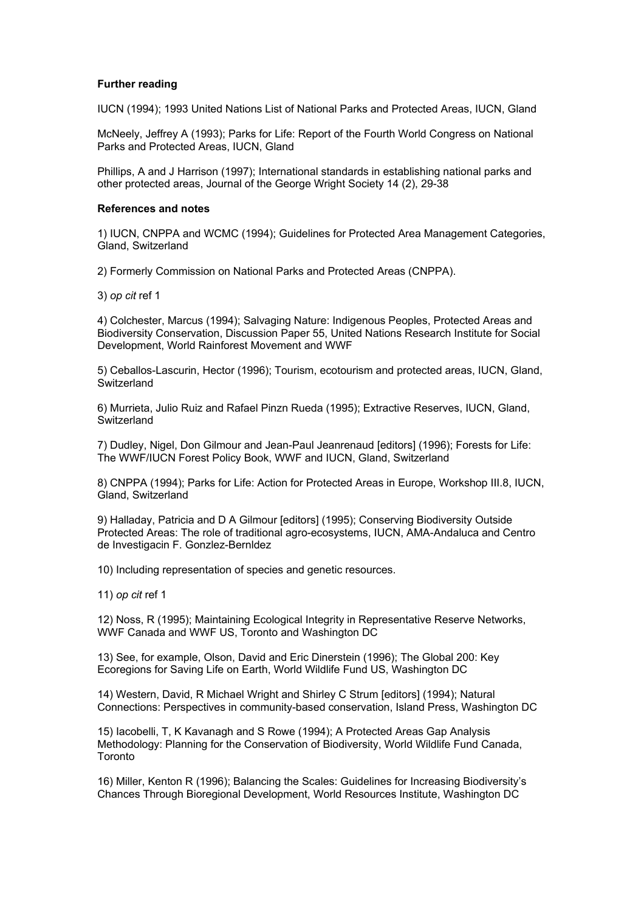### **Further reading**

IUCN (1994); 1993 United Nations List of National Parks and Protected Areas, IUCN, Gland

McNeely, Jeffrey A (1993); Parks for Life: Report of the Fourth World Congress on National Parks and Protected Areas, IUCN, Gland

Phillips, A and J Harrison (1997); International standards in establishing national parks and other protected areas, Journal of the George Wright Society 14 (2), 29-38

#### **References and notes**

1) IUCN, CNPPA and WCMC (1994); Guidelines for Protected Area Management Categories, Gland, Switzerland

2) Formerly Commission on National Parks and Protected Areas (CNPPA).

3) *op cit* ref 1

4) Colchester, Marcus (1994); Salvaging Nature: Indigenous Peoples, Protected Areas and Biodiversity Conservation, Discussion Paper 55, United Nations Research Institute for Social Development, World Rainforest Movement and WWF

5) Ceballos-Lascurin, Hector (1996); Tourism, ecotourism and protected areas, IUCN, Gland, Switzerland

6) Murrieta, Julio Ruiz and Rafael Pinzn Rueda (1995); Extractive Reserves, IUCN, Gland, **Switzerland** 

7) Dudley, Nigel, Don Gilmour and Jean-Paul Jeanrenaud [editors] (1996); Forests for Life: The WWF/IUCN Forest Policy Book, WWF and IUCN, Gland, Switzerland

8) CNPPA (1994); Parks for Life: Action for Protected Areas in Europe, Workshop III.8, IUCN, Gland, Switzerland

9) Halladay, Patricia and D A Gilmour [editors] (1995); Conserving Biodiversity Outside Protected Areas: The role of traditional agro-ecosystems, IUCN, AMA-Andaluca and Centro de Investigacin F. Gonzlez-Bernldez

10) Including representation of species and genetic resources.

11) *op cit* ref 1

12) Noss, R (1995); Maintaining Ecological Integrity in Representative Reserve Networks, WWF Canada and WWF US, Toronto and Washington DC

13) See, for example, Olson, David and Eric Dinerstein (1996); The Global 200: Key Ecoregions for Saving Life on Earth, World Wildlife Fund US, Washington DC

14) Western, David, R Michael Wright and Shirley C Strum [editors] (1994); Natural Connections: Perspectives in community-based conservation, Island Press, Washington DC

15) Iacobelli, T, K Kavanagh and S Rowe (1994); A Protected Areas Gap Analysis Methodology: Planning for the Conservation of Biodiversity, World Wildlife Fund Canada, Toronto

16) Miller, Kenton R (1996); Balancing the Scales: Guidelines for Increasing Biodiversity's Chances Through Bioregional Development, World Resources Institute, Washington DC